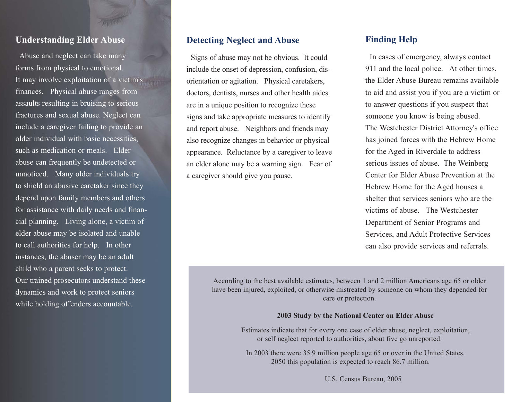## **Understanding Elder Abuse**

Abuse and neglect can take many forms from physical to emotional. It may involve exploitation of a victim's finances. Physical abuse ranges from assaults resulting in bruising to serious fractures and sexual abuse. Neglect can include a caregiver failing to provide an older individual with basic necessities, such as medication or meals. Elder abuse can frequently be undetected or unnoticed. Many older individuals try to shield an abusive caretaker since they depend upon family members and others for assistance with daily needs and financial planning. Living alone, a victim of elder abuse may be isolated and unable to call authorities for help. In other instances, the abuser may be an adult child who a parent seeks to protect. Our trained prosecutors understand these dynamics and work to protect seniors while holding offenders accountable.

### **Detecting Neglect and Abuse**

Signs of abuse may not be obvious. It could include the onset of depression, confusion, disorientation or agitation. Physical caretakers, doctors, dentists, nurses and other health aides are in a unique position to recognize these signs and take appropriate measures to identify and report abuse. Neighbors and friends may also recognize changes in behavior or physical appearance. Reluctance by a caregiver to leave an elder alone may be a warning sign. Fear of a caregiver should give you pause.

## **Finding Help**

In cases of emergency, always contact 911 and the local police. At other times, the Elder Abuse Bureau remains available to aid and assist you if you are a victim or to answer questions if you suspect that someone you know is being abused. The Westchester District Attorney's office has joined forces with the Hebrew Home for the Aged in Riverdale to address serious issues of abuse. The Weinberg Center for Elder Abuse Prevention at the Hebrew Home for the Aged houses a shelter that services seniors who are the victims of abuse. The Westchester Department of Senior Programs and Services, and Adult Protective Services can also provide services and referrals.

According to the best available estimates, between 1 and 2 million Americans age 65 or older have been injured, exploited, or otherwise mistreated by someone on whom they depended for care or protection.

#### **2003 Study by the National Center on Elder Abuse**

Estimates indicate that for every one case of elder abuse, neglect, exploitation, or self neglect reported to authorities, about five go unreported.

In 2003 there were 35.9 million people age 65 or over in the United States. 2050 this population is expected to reach 86.7 million.

U.S. Census Bureau, 2005